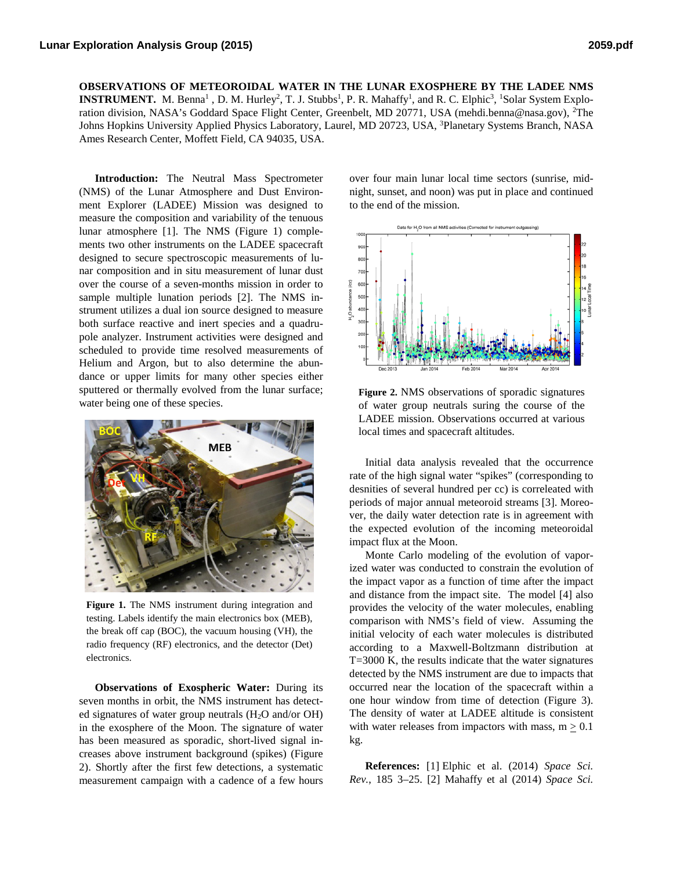**OBSERVATIONS OF METEOROIDAL WATER IN THE LUNAR EXOSPHERE BY THE LADEE NMS INSTRUMENT.** M. Benna<sup>1</sup>, D. M. Hurley<sup>2</sup>, T. J. Stubbs<sup>1</sup>, P. R. Mahaffy<sup>1</sup>, and R. C. Elphic<sup>3</sup>, <sup>1</sup>Solar System Exploration division, NASA's Goddard Space Flight Center, Greenbelt, MD 20771, USA (mehdi.benna@nasa.gov), <sup>2</sup>The Johns Hopkins University Applied Physics Laboratory, Laurel, MD 20723, USA, <sup>3</sup>Planetary Systems Branch, NASA Ames Research Center, Moffett Field, CA 94035, USA.

**Introduction:** The Neutral Mass Spectrometer (NMS) of the Lunar Atmosphere and Dust Environment Explorer (LADEE) Mission was designed to measure the composition and variability of the tenuous lunar atmosphere [1]. The NMS (Figure 1) complements two other instruments on the LADEE spacecraft designed to secure spectroscopic measurements of lunar composition and in situ measurement of lunar dust over the course of a seven-months mission in order to sample multiple lunation periods [2]. The NMS instrument utilizes a dual ion source designed to measure both surface reactive and inert species and a quadrupole analyzer. Instrument activities were designed and scheduled to provide time resolved measurements of Helium and Argon, but to also determine the abundance or upper limits for many other species either sputtered or thermally evolved from the lunar surface; water being one of these species.



**Figure 1.** The NMS instrument during integration and testing. Labels identify the main electronics box (MEB), the break off cap (BOC), the vacuum housing (VH), the radio frequency (RF) electronics, and the detector (Det) electronics.

**Observations of Exospheric Water:** During its seven months in orbit, the NMS instrument has detected signatures of water group neutrals (H2O and/or OH) in the exosphere of the Moon. The signature of water has been measured as sporadic, short-lived signal increases above instrument background (spikes) (Figure 2). Shortly after the first few detections, a systematic measurement campaign with a cadence of a few hours over four main lunar local time sectors (sunrise, midnight, sunset, and noon) was put in place and continued to the end of the mission.



**Figure 2.** NMS observations of sporadic signatures of water group neutrals suring the course of the LADEE mission. Observations occurred at various local times and spacecraft altitudes.

Initial data analysis revealed that the occurrence rate of the high signal water "spikes" (corresponding to desnities of several hundred per cc) is correleated with periods of major annual meteoroid streams [3]. Moreover, the daily water detection rate is in agreement with the expected evolution of the incoming meteoroidal impact flux at the Moon.

Monte Carlo modeling of the evolution of vaporized water was conducted to constrain the evolution of the impact vapor as a function of time after the impact and distance from the impact site. The model [4] also provides the velocity of the water molecules, enabling comparison with NMS's field of view. Assuming the initial velocity of each water molecules is distributed according to a Maxwell-Boltzmann distribution at T=3000 K, the results indicate that the water signatures detected by the NMS instrument are due to impacts that occurred near the location of the spacecraft within a one hour window from time of detection (Figure 3). The density of water at LADEE altitude is consistent with water releases from impactors with mass,  $m \geq 0.1$ kg.

**References:** [1] Elphic et al. (2014) *Space Sci. Rev.*, 185 3–25. [2] Mahaffy et al (2014) *Space Sci.*